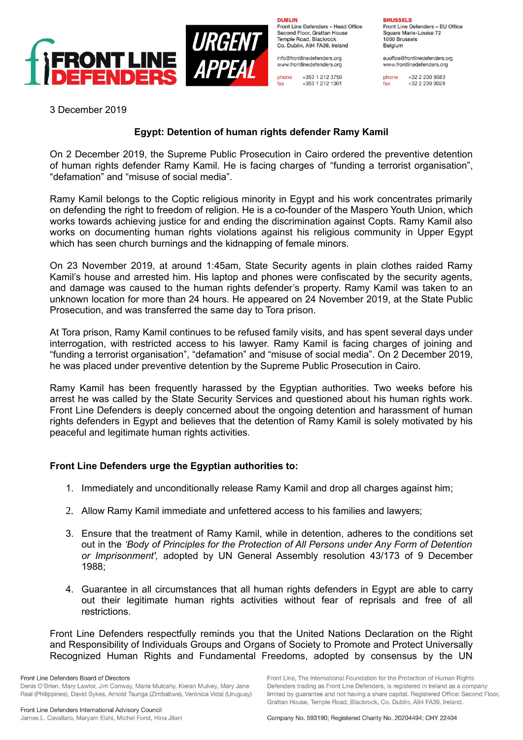



**DURLIN** Front Line Defenders - Head Office Second Floor, Grattan House Temple Road, Blackrock Co. Dublin, A94 FA39, Ireland

info@frontlinedefenders.org www.frontlinedefenders.org

 $+353$  1 212 3750 phone +353 1 212 1001 fax

**BRUSSELS** 

Front Line Defenders - EU Office Square Marie-Louise 72 1000 Brussels Belgium

euoffice@frontlinedefenders.org www.frontlinedefenders.org

+32 2 230 9383 phone +32 2 230 0028 fax

3 December 2019

## **Egypt: Detention of human rights defender Ramy Kamil**

On 2 December 2019, the Supreme Public Prosecution in Cairo ordered the preventive detention of human rights defender Ramy Kamil. He is facing charges of "funding a terrorist organisation", "defamation" and "misuse of social media".

Ramy Kamil belongs to the Coptic religious minority in Egypt and his work concentrates primarily on defending the right to freedom of religion. He is a co-founder of the Maspero Youth Union, which works towards achieving justice for and ending the discrimination against Copts. Ramy Kamil also works on documenting human rights violations against his religious community in Upper Egypt which has seen church burnings and the kidnapping of female minors.

On 23 November 2019, at around 1:45am, State Security agents in plain clothes raided Ramy Kamil's house and arrested him. His laptop and phones were confiscated by the security agents, and damage was caused to the human rights defender's property. Ramy Kamil was taken to an unknown location for more than 24 hours. He appeared on 24 November 2019, at the State Public Prosecution, and was transferred the same day to Tora prison.

At Tora prison, Ramy Kamil continues to be refused family visits, and has spent several days under interrogation, with restricted access to his lawyer. Ramy Kamil is facing charges of joining and "funding a terrorist organisation", "defamation" and "misuse of social media". On 2 December 2019, he was placed under preventive detention by the Supreme Public Prosecution in Cairo.

Ramy Kamil has been frequently harassed by the Egyptian authorities. Two weeks before his arrest he was called by the State Security Services and questioned about his human rights work. Front Line Defenders is deeply concerned about the ongoing detention and harassment of human rights defenders in Egypt and believes that the detention of Ramy Kamil is solely motivated by his peaceful and legitimate human rights activities.

## **Front Line Defenders urge the Egyptian authorities to:**

- 1. Immediately and unconditionally release Ramy Kamil and drop all charges against him;
- 2. Allow Ramy Kamil immediate and unfettered access to his families and lawyers;
- 3. Ensure that the treatment of Ramy Kamil, while in detention, adheres to the conditions set out in the *'Body of Principles for the Protection of All Persons under Any Form of Detention or Imprisonment',* adopted by UN General Assembly resolution 43/173 of 9 December 1988;
- 4. Guarantee in all circumstances that all human rights defenders in Egypt are able to carry out their legitimate human rights activities without fear of reprisals and free of all restrictions.

Front Line Defenders respectfully reminds you that the United Nations Declaration on the Right and Responsibility of Individuals Groups and Organs of Society to Promote and Protect Universally Recognized Human Rights and Fundamental Freedoms, adopted by consensus by the UN

Front Line Defenders Board of Directors Denis O'Brien, Mary Lawlor, Jim Conway, Maria Mulcahy, Kieran Mulvey, Mary Jane Real (Philippines), David Sykes, Arnold Tsunga (Zimbabwe), Verónica Vidal (Uruguay) Front Line, The International Foundation for the Protection of Human Rights

Defenders trading as Front Line Defenders, is registered in Ireland as a company

limited by guarantee and not having a share capital. Registered Office: Second Floor,